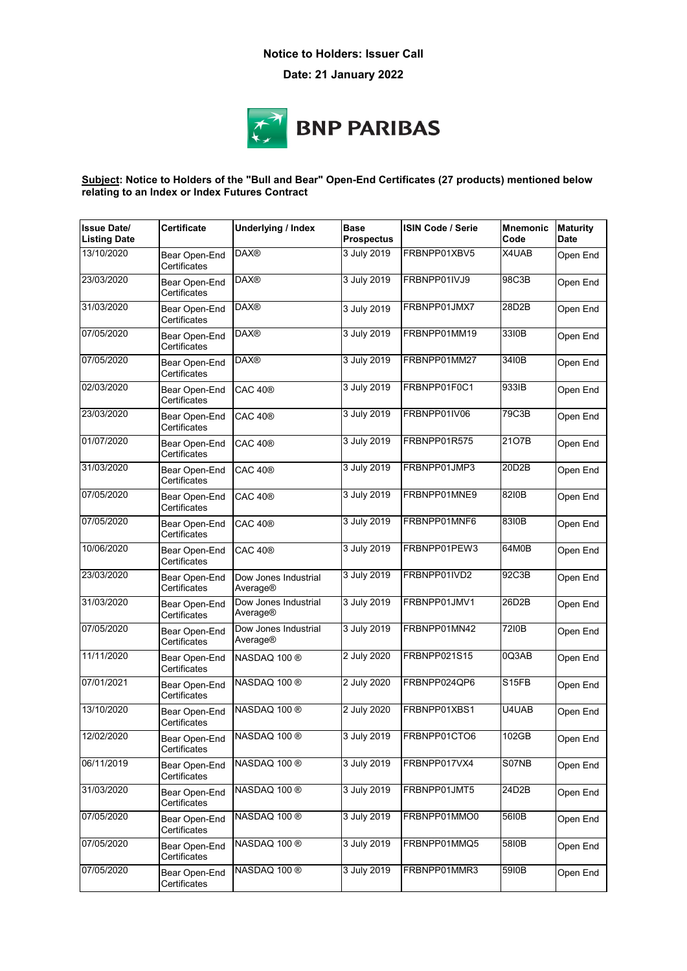## **Notice to Holders: Issuer Call**

**Date: 21 January 2022**



## **Subject: Notice to Holders of the "Bull and Bear" Open-End Certificates (27 products) mentioned below relating to an Index or Index Futures Contract**

| <b>Issue Date/</b><br><b>Listing Date</b> | Certificate                   | <b>Underlying / Index</b>        | <b>Base</b><br><b>Prospectus</b> | <b>ISIN Code / Serie</b> | <b>Mnemonic</b><br>Code | <b>Maturity</b><br><b>Date</b> |
|-------------------------------------------|-------------------------------|----------------------------------|----------------------------------|--------------------------|-------------------------|--------------------------------|
| 13/10/2020                                | Bear Open-End<br>Certificates | <b>DAX®</b>                      | 3 July 2019                      | FRBNPP01XBV5             | X4UAB                   | Open End                       |
| 23/03/2020                                | Bear Open-End<br>Certificates | <b>DAX®</b>                      | 3 July 2019                      | FRBNPP01IVJ9             | 98C3B                   | Open End                       |
| 31/03/2020                                | Bear Open-End<br>Certificates | <b>DAX®</b>                      | 3 July 2019                      | FRBNPP01JMX7             | 28D2B                   | Open End                       |
| 07/05/2020                                | Bear Open-End<br>Certificates | <b>DAX®</b>                      | 3 July 2019                      | FRBNPP01MM19             | 3310B                   | Open End                       |
| 07/05/2020                                | Bear Open-End<br>Certificates | <b>DAX®</b>                      | 3 July 2019                      | FRBNPP01MM27             | 3410B                   | Open End                       |
| 02/03/2020                                | Bear Open-End<br>Certificates | CAC 40 <sup>®</sup>              | 3 July 2019                      | FRBNPP01F0C1             | 933IB                   | Open End                       |
| 23/03/2020                                | Bear Open-End<br>Certificates | <b>CAC 40®</b>                   | 3 July 2019                      | FRBNPP01IV06             | 79C3B                   | Open End                       |
| 01/07/2020                                | Bear Open-End<br>Certificates | <b>CAC 40®</b>                   | 3 July 2019                      | FRBNPP01R575             | 2107B                   | Open End                       |
| 31/03/2020                                | Bear Open-End<br>Certificates | <b>CAC 40®</b>                   | 3 July 2019                      | FRBNPP01JMP3             | 20D2B                   | Open End                       |
| 07/05/2020                                | Bear Open-End<br>Certificates | <b>CAC 40®</b>                   | 3 July 2019                      | FRBNPP01MNE9             | 8210B                   | Open End                       |
| 07/05/2020                                | Bear Open-End<br>Certificates | <b>CAC 40®</b>                   | 3 July 2019                      | FRBNPP01MNF6             | 8310B                   | Open End                       |
| 10/06/2020                                | Bear Open-End<br>Certificates | <b>CAC 40®</b>                   | 3 July 2019                      | FRBNPP01PEW3             | 64M0B                   | Open End                       |
| 23/03/2020                                | Bear Open-End<br>Certificates | Dow Jones Industrial<br>Average® | 3 July 2019                      | FRBNPP01IVD2             | 92C3B                   | Open End                       |
| 31/03/2020                                | Bear Open-End<br>Certificates | Dow Jones Industrial<br>Average® | 3 July 2019                      | FRBNPP01JMV1             | 26D2B                   | Open End                       |
| 07/05/2020                                | Bear Open-End<br>Certificates | Dow Jones Industrial<br>Average® | 3 July 2019                      | FRBNPP01MN42             | 7210B                   | Open End                       |
| 11/11/2020                                | Bear Open-End<br>Certificates | NASDAQ 100 ®                     | 2 July 2020                      | FRBNPP021S15             | 0Q3AB                   | Open End                       |
| 07/01/2021                                | Bear Open-End<br>Certificates | NASDAQ 100 ®                     | 2 July 2020                      | FRBNPP024QP6             | S <sub>15FB</sub>       | Open End                       |
| 13/10/2020                                | Bear Open-End<br>Certificates | NASDAQ 100 ®                     | 2 July 2020                      | FRBNPP01XBS1             | U4UAB                   | Open End                       |
| 12/02/2020                                | Certificates                  | Bear Open-End NASDAQ 100 ®       |                                  | 3 July 2019 FRBNPP01CTO6 | 102GB                   | Open End                       |
| 06/11/2019                                | Bear Open-End<br>Certificates | NASDAQ 100 ®                     | 3 July 2019                      | FRBNPP017VX4             | S07NB                   | Open End                       |
| 31/03/2020                                | Bear Open-End<br>Certificates | NASDAQ 100 ®                     | 3 July 2019                      | FRBNPP01JMT5             | 24D2B                   | Open End                       |
| 07/05/2020                                | Bear Open-End<br>Certificates | NASDAQ 100 ®                     | 3 July 2019                      | FRBNPP01MMO0             | 5610B                   | Open End                       |
| 07/05/2020                                | Bear Open-End<br>Certificates | NASDAQ 100 ®                     | 3 July 2019                      | FRBNPP01MMQ5             | 5810B                   | Open End                       |
| 07/05/2020                                | Bear Open-End<br>Certificates | NASDAQ 100 ®                     | 3 July 2019                      | FRBNPP01MMR3             | 5910B                   | Open End                       |